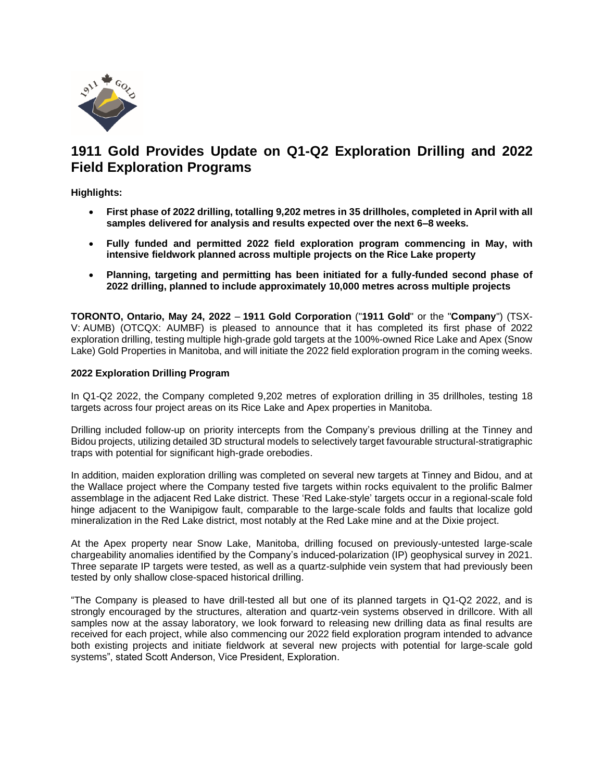

# **1911 Gold Provides Update on Q1-Q2 Exploration Drilling and 2022 Field Exploration Programs**

**Highlights:**

- **First phase of 2022 drilling, totalling 9,202 metres in 35 drillholes, completed in April with all samples delivered for analysis and results expected over the next 6–8 weeks.**
- **Fully funded and permitted 2022 field exploration program commencing in May, with intensive fieldwork planned across multiple projects on the Rice Lake property**
- **Planning, targeting and permitting has been initiated for a fully-funded second phase of 2022 drilling, planned to include approximately 10,000 metres across multiple projects**

**TORONTO, Ontario, May 24, 2022** – **1911 Gold Corporation** ("**1911 Gold**" or the "**Company**") (TSX-V: AUMB) (OTCQX: AUMBF) is pleased to announce that it has completed its first phase of 2022 exploration drilling, testing multiple high-grade gold targets at the 100%-owned Rice Lake and Apex (Snow Lake) Gold Properties in Manitoba, and will initiate the 2022 field exploration program in the coming weeks.

# **2022 Exploration Drilling Program**

In Q1-Q2 2022, the Company completed 9,202 metres of exploration drilling in 35 drillholes, testing 18 targets across four project areas on its Rice Lake and Apex properties in Manitoba.

Drilling included follow-up on priority intercepts from the Company's previous drilling at the Tinney and Bidou projects, utilizing detailed 3D structural models to selectively target favourable structural-stratigraphic traps with potential for significant high-grade orebodies.

In addition, maiden exploration drilling was completed on several new targets at Tinney and Bidou, and at the Wallace project where the Company tested five targets within rocks equivalent to the prolific Balmer assemblage in the adjacent Red Lake district. These 'Red Lake-style' targets occur in a regional-scale fold hinge adjacent to the Wanipigow fault, comparable to the large-scale folds and faults that localize gold mineralization in the Red Lake district, most notably at the Red Lake mine and at the Dixie project.

At the Apex property near Snow Lake, Manitoba, drilling focused on previously-untested large-scale chargeability anomalies identified by the Company's induced-polarization (IP) geophysical survey in 2021. Three separate IP targets were tested, as well as a quartz-sulphide vein system that had previously been tested by only shallow close-spaced historical drilling.

"The Company is pleased to have drill-tested all but one of its planned targets in Q1-Q2 2022, and is strongly encouraged by the structures, alteration and quartz-vein systems observed in drillcore. With all samples now at the assay laboratory, we look forward to releasing new drilling data as final results are received for each project, while also commencing our 2022 field exploration program intended to advance both existing projects and initiate fieldwork at several new projects with potential for large-scale gold systems", stated Scott Anderson, Vice President, Exploration.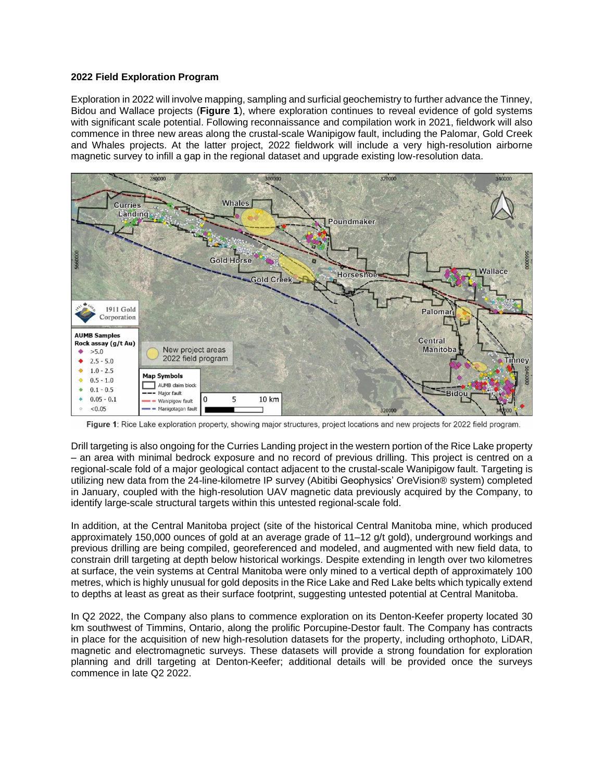## **2022 Field Exploration Program**

Exploration in 2022 will involve mapping, sampling and surficial geochemistry to furtheradvance the Tinney, Bidou and Wallace projects (**Figure 1**), where exploration continues to reveal evidence of gold systems with significant scale potential. Following reconnaissance and compilation work in 2021, fieldwork will also commence in three new areas along the crustal-scale Wanipigow fault, including the Palomar, Gold Creek and Whales projects. At the latter project, 2022 fieldwork will include a very high-resolution airborne magnetic survey to infill a gap in the regional dataset and upgrade existing low-resolution data.



Figure 1: Rice Lake exploration property, showing major structures, project locations and new projects for 2022 field program.

Drill targeting is also ongoing for the Curries Landing project in the western portion of the Rice Lake property – an area with minimal bedrock exposure and no record of previous drilling. This project is centred on a regional-scale fold of a major geological contact adjacent to the crustal-scale Wanipigow fault. Targeting is utilizing new data from the 24-line-kilometre IP survey (Abitibi Geophysics' OreVision® system) completed in January, coupled with the high-resolution UAV magnetic data previously acquired by the Company, to identify large-scale structural targets within this untested regional-scale fold.

In addition, at the Central Manitoba project (site of the historical Central Manitoba mine, which produced approximately 150,000 ounces of gold at an average grade of 11–12 g/t gold), underground workings and previous drilling are being compiled, georeferenced and modeled, and augmented with new field data, to constrain drill targeting at depth below historical workings. Despite extending in length over two kilometres at surface, the vein systems at Central Manitoba were only mined to a vertical depth of approximately 100 metres, which is highly unusual for gold deposits in the Rice Lake and Red Lake belts which typically extend to depths at least as great as their surface footprint, suggesting untested potential at Central Manitoba.

In Q2 2022, the Company also plans to commence exploration on its Denton-Keefer property located 30 km southwest of Timmins, Ontario, along the prolific Porcupine-Destor fault. The Company has contracts in place for the acquisition of new high-resolution datasets for the property, including orthophoto, LiDAR, magnetic and electromagnetic surveys. These datasets will provide a strong foundation for exploration planning and drill targeting at Denton-Keefer; additional details will be provided once the surveys commence in late Q2 2022.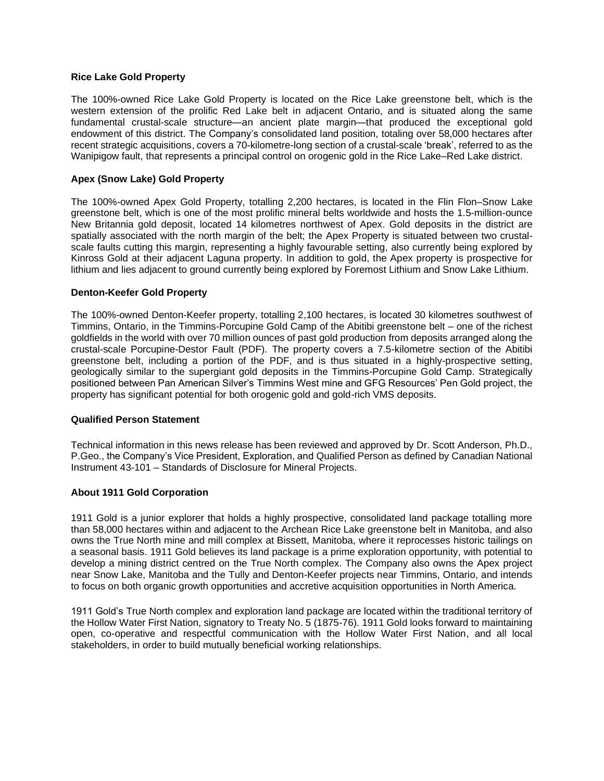## **Rice Lake Gold Property**

The 100%-owned Rice Lake Gold Property is located on the Rice Lake greenstone belt, which is the western extension of the prolific Red Lake belt in adjacent Ontario, and is situated along the same fundamental crustal-scale structure—an ancient plate margin—that produced the exceptional gold endowment of this district. The Company's consolidated land position, totaling over 58,000 hectares after recent strategic acquisitions, covers a 70-kilometre-long section of a crustal-scale 'break', referred to as the Wanipigow fault, that represents a principal control on orogenic gold in the Rice Lake–Red Lake district.

## **Apex (Snow Lake) Gold Property**

The 100%-owned Apex Gold Property, totalling 2,200 hectares, is located in the Flin Flon–Snow Lake greenstone belt, which is one of the most prolific mineral belts worldwide and hosts the 1.5-million-ounce New Britannia gold deposit, located 14 kilometres northwest of Apex. Gold deposits in the district are spatially associated with the north margin of the belt; the Apex Property is situated between two crustalscale faults cutting this margin, representing a highly favourable setting, also currently being explored by Kinross Gold at their adjacent Laguna property. In addition to gold, the Apex property is prospective for lithium and lies adjacent to ground currently being explored by Foremost Lithium and Snow Lake Lithium.

## **Denton-Keefer Gold Property**

The 100%-owned Denton-Keefer property, totalling 2,100 hectares, is located 30 kilometres southwest of Timmins, Ontario, in the Timmins-Porcupine Gold Camp of the Abitibi greenstone belt – one of the richest goldfields in the world with over 70 million ounces of past gold production from deposits arranged along the crustal-scale Porcupine-Destor Fault (PDF). The property covers a 7.5-kilometre section of the Abitibi greenstone belt, including a portion of the PDF, and is thus situated in a highly-prospective setting, geologically similar to the supergiant gold deposits in the Timmins-Porcupine Gold Camp. Strategically positioned between Pan American Silver's Timmins West mine and GFG Resources' Pen Gold project, the property has significant potential for both orogenic gold and gold-rich VMS deposits.

#### **Qualified Person Statement**

Technical information in this news release has been reviewed and approved by Dr. Scott Anderson, Ph.D., P.Geo., the Company's Vice President, Exploration, and Qualified Person as defined by Canadian National Instrument 43-101 – Standards of Disclosure for Mineral Projects.

## **About 1911 Gold Corporation**

1911 Gold is a junior explorer that holds a highly prospective, consolidated land package totalling more than 58,000 hectares within and adjacent to the Archean Rice Lake greenstone belt in Manitoba, and also owns the True North mine and mill complex at Bissett, Manitoba, where it reprocesses historic tailings on a seasonal basis. 1911 Gold believes its land package is a prime exploration opportunity, with potential to develop a mining district centred on the True North complex. The Company also owns the Apex project near Snow Lake, Manitoba and the Tully and Denton-Keefer projects near Timmins, Ontario, and intends to focus on both organic growth opportunities and accretive acquisition opportunities in North America.

1911 Gold's True North complex and exploration land package are located within the traditional territory of the Hollow Water First Nation, signatory to Treaty No. 5 (1875-76). 1911 Gold looks forward to maintaining open, co-operative and respectful communication with the Hollow Water First Nation, and all local stakeholders, in order to build mutually beneficial working relationships.